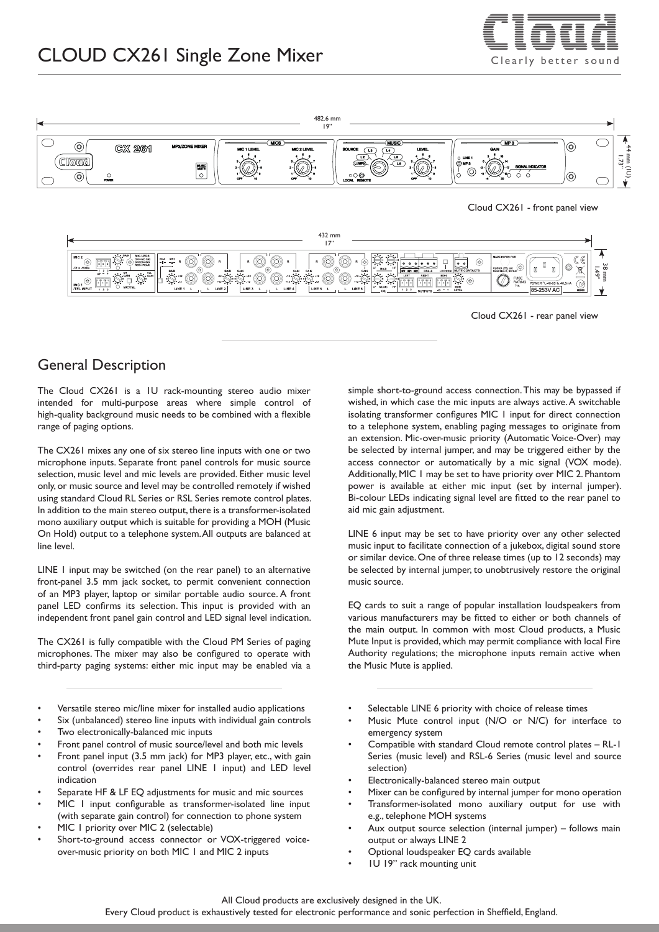

# CLOUD CX261 Single Zone Mixer  $\overline{C} = \overline{C}$





Cloud CX261 - rear panel view

#### General Description

The Cloud CX261 is a 1U rack-mounting stereo audio mixer intended for multi-purpose areas where simple control of high-quality background music needs to be combined with a flexible range of paging options.

The CX261 mixes any one of six stereo line inputs with one or two microphone inputs. Separate front panel controls for music source selection, music level and mic levels are provided. Either music level only, or music source and level may be controlled remotely if wished using standard Cloud RL Series or RSL Series remote control plates. In addition to the main stereo output, there is a transformer-isolated mono auxiliary output which is suitable for providing a MOH (Music On Hold) output to a telephone system. All outputs are balanced at line level.

LINE 1 input may be switched (on the rear panel) to an alternative front-panel 3.5 mm jack socket, to permit convenient connection of an MP3 player, laptop or similar portable audio source. A front panel LED confirms its selection. This input is provided with an independent front panel gain control and LED signal level indication.

The CX261 is fully compatible with the Cloud PM Series of paging microphones. The mixer may also be configured to operate with third-party paging systems: either mic input may be enabled via a

- Versatile stereo mic/line mixer for installed audio applications
- Six (unbalanced) stereo line inputs with individual gain controls
- Two electronically-balanced mic inputs
- Front panel control of music source/level and both mic levels
- Front panel input (3.5 mm jack) for MP3 player, etc., with gain control (overrides rear panel LINE 1 input) and LED level indication
- Separate HF & LF EQ adjustments for music and mic sources
- MIC I input configurable as transformer-isolated line input (with separate gain control) for connection to phone system
- MIC 1 priority over MIC 2 (selectable)
- Short-to-ground access connector or VOX-triggered voiceover-music priority on both MIC 1 and MIC 2 inputs

simple short-to-ground access connection. This may be bypassed if wished, in which case the mic inputs are always active. A switchable isolating transformer configures MIC 1 input for direct connection to a telephone system, enabling paging messages to originate from an extension. Mic-over-music priority (Automatic Voice-Over) may be selected by internal jumper, and may be triggered either by the access connector or automatically by a mic signal (VOX mode). Additionally, MIC 1 may be set to have priority over MIC 2. Phantom power is available at either mic input (set by internal jumper). Bi-colour LEDs indicating signal level are fitted to the rear panel to aid mic gain adjustment.

LINE 6 input may be set to have priority over any other selected music input to facilitate connection of a jukebox, digital sound store or similar device. One of three release times (up to 12 seconds) may be selected by internal jumper, to unobtrusively restore the original music source.

EQ cards to suit a range of popular installation loudspeakers from various manufacturers may be fitted to either or both channels of the main output. In common with most Cloud products, a Music Mute Input is provided, which may permit compliance with local Fire Authority regulations; the microphone inputs remain active when the Music Mute is applied.

- Selectable LINE 6 priority with choice of release times
- Music Mute control input (N/O or N/C) for interface to emergency system
- Compatible with standard Cloud remote control plates RL-1 Series (music level) and RSL-6 Series (music level and source selection)
- Electronically-balanced stereo main output
- Mixer can be configured by internal jumper for mono operation • Transformer-isolated mono auxiliary output for use with
- e.g., telephone MOH systems • Aux output source selection (internal jumper) – follows main output or always LINE 2
- Optional loudspeaker EQ cards available
- 1U 19" rack mounting unit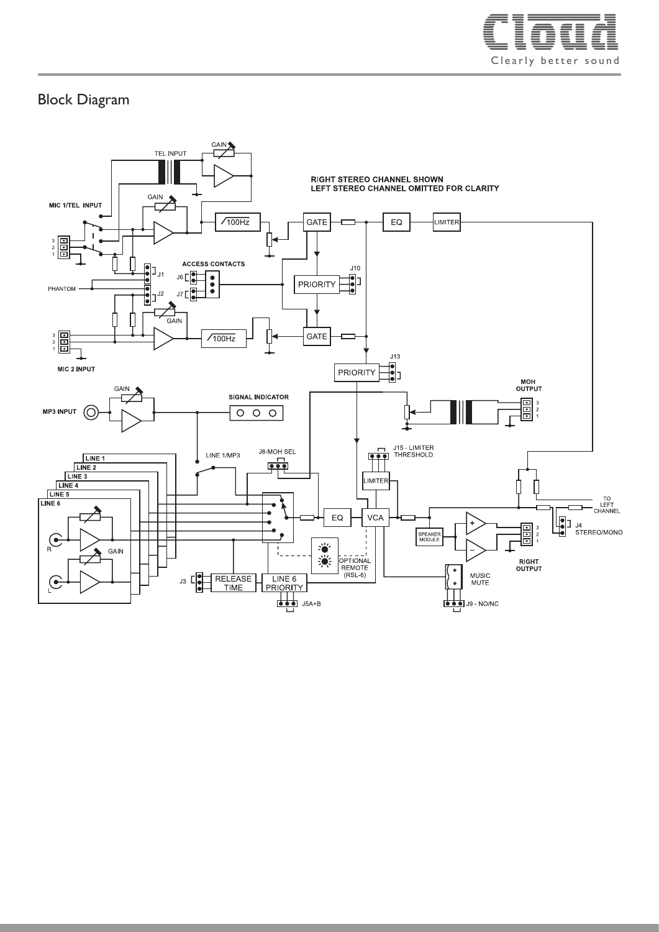

## Block Diagram

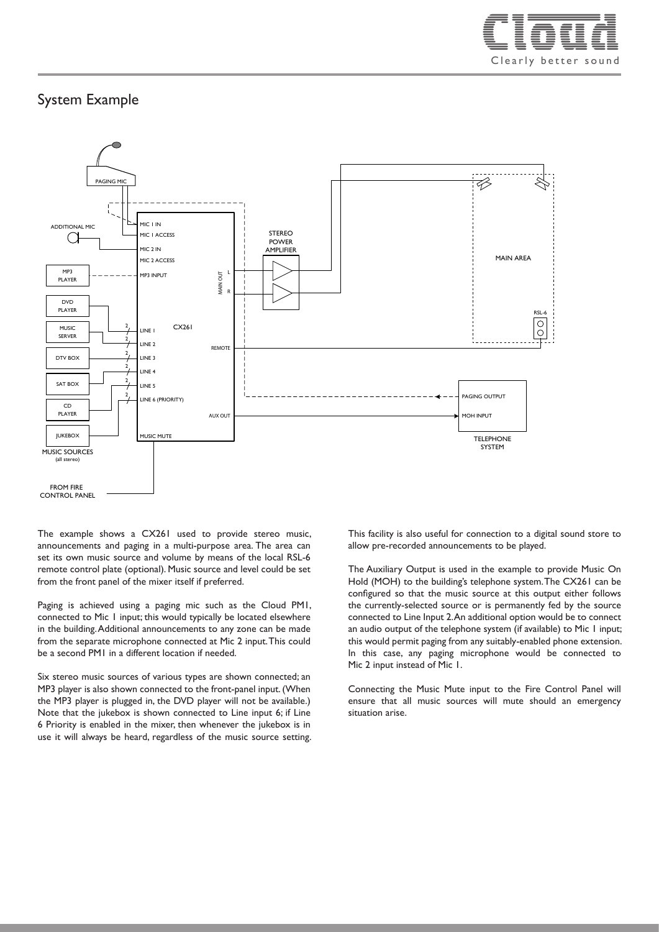

### System Example



The example shows a CX261 used to provide stereo music, announcements and paging in a multi-purpose area. The area can set its own music source and volume by means of the local RSL-6 remote control plate (optional). Music source and level could be set from the front panel of the mixer itself if preferred.

Paging is achieved using a paging mic such as the Cloud PM1, connected to Mic 1 input; this would typically be located elsewhere in the building. Additional announcements to any zone can be made from the separate microphone connected at Mic 2 input. This could be a second PM1 in a different location if needed.

Six stereo music sources of various types are shown connected; an MP3 player is also shown connected to the front-panel input. (When the MP3 player is plugged in, the DVD player will not be available.) Note that the jukebox is shown connected to Line input 6; if Line 6 Priority is enabled in the mixer, then whenever the jukebox is in use it will always be heard, regardless of the music source setting. This facility is also useful for connection to a digital sound store to allow pre-recorded announcements to be played.

The Auxiliary Output is used in the example to provide Music On Hold (MOH) to the building's telephone system. The CX261 can be configured so that the music source at this output either follows the currently-selected source or is permanently fed by the source connected to Line Input 2. An additional option would be to connect an audio output of the telephone system (if available) to Mic 1 input; this would permit paging from any suitably-enabled phone extension. In this case, any paging microphone would be connected to Mic 2 input instead of Mic 1.

Connecting the Music Mute input to the Fire Control Panel will ensure that all music sources will mute should an emergency situation arise.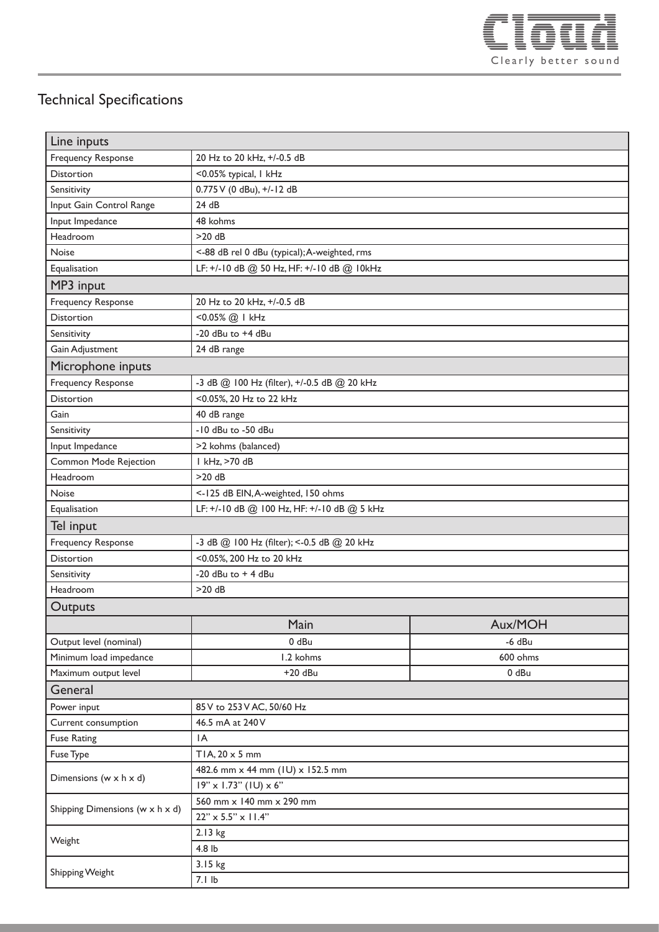

## Technical Specifications

| Line inputs                          |                                               |                |
|--------------------------------------|-----------------------------------------------|----------------|
| Frequency Response                   | 20 Hz to 20 kHz, +/-0.5 dB                    |                |
| <b>Distortion</b>                    | <0.05% typical, I kHz                         |                |
| Sensitivity                          | 0.775 V (0 dBu), +/-12 dB                     |                |
| Input Gain Control Range             | 24 dB                                         |                |
| Input Impedance                      | 48 kohms                                      |                |
| Headroom                             | $>20$ dB                                      |                |
| Noise                                | <- 88 dB rel 0 dBu (typical); A-weighted, rms |                |
| Equalisation                         | LF: +/-10 dB @ 50 Hz, HF: +/-10 dB @ 10kHz    |                |
| MP3 input                            |                                               |                |
| <b>Frequency Response</b>            | 20 Hz to 20 kHz, +/-0.5 dB                    |                |
| <b>Distortion</b>                    | <0.05% @   kHz                                |                |
| Sensitivity                          | -20 dBu to +4 dBu                             |                |
| Gain Adjustment                      | 24 dB range                                   |                |
| Microphone inputs                    |                                               |                |
| Frequency Response                   | -3 dB @ 100 Hz (filter), +/-0.5 dB @ 20 kHz   |                |
| <b>Distortion</b>                    | <0.05%, 20 Hz to 22 kHz                       |                |
| Gain                                 | 40 dB range                                   |                |
| Sensitivity                          | -10 dBu to -50 dBu                            |                |
| Input Impedance                      | >2 kohms (balanced)                           |                |
| Common Mode Rejection                | I kHz, >70 dB                                 |                |
| Headroom                             | $>20$ dB                                      |                |
| Noise                                | <- 125 dB EIN, A-weighted, 150 ohms           |                |
| Equalisation                         | LF: +/-10 dB @ 100 Hz, HF: +/-10 dB @ 5 kHz   |                |
| Tel input                            |                                               |                |
| <b>Frequency Response</b>            | -3 dB @ 100 Hz (filter); <- 0.5 dB @ 20 kHz   |                |
| Distortion                           | <0.05%, 200 Hz to 20 kHz                      |                |
| Sensitivity                          | -20 $dBu$ to $+$ 4 $dBu$                      |                |
| Headroom                             | $>20$ dB                                      |                |
| Outputs                              |                                               |                |
|                                      | Main                                          | <b>Aux/MOH</b> |
| Output level (nominal)               | 0 dBu                                         | $-6$ dBu       |
| Minimum load impedance               | 1.2 kohms                                     | 600 ohms       |
| Maximum output level                 | $+20$ dBu                                     | 0 dBu          |
| General                              |                                               |                |
| Power input                          | 85 V to 253 V AC, 50/60 Hz                    |                |
| Current consumption                  | 46.5 mA at 240 V                              |                |
| <b>Fuse Rating</b>                   | IA                                            |                |
| Fuse Type                            | TIA, $20 \times 5$ mm                         |                |
| Dimensions ( $w \times h \times d$ ) | 482.6 mm x 44 mm (IU) x 152.5 mm              |                |
|                                      | $19'' \times 1.73''$ (IU) $\times 6''$        |                |
| Shipping Dimensions (w x h x d)      | 560 mm x 140 mm x 290 mm                      |                |
|                                      | $22" \times 5.5" \times 11.4"$                |                |
| Weight                               | 2.13 kg                                       |                |
|                                      | 4.8 lb                                        |                |
| Shipping Weight                      | 3.15 kg                                       |                |
|                                      | 7.1 lb                                        |                |
|                                      |                                               |                |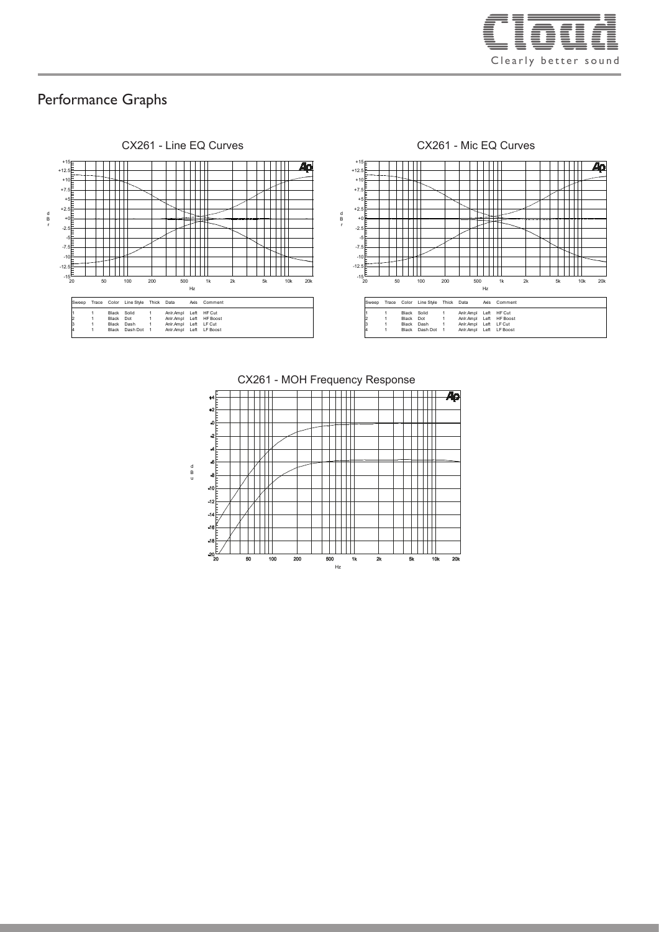

#### Performance Graphs